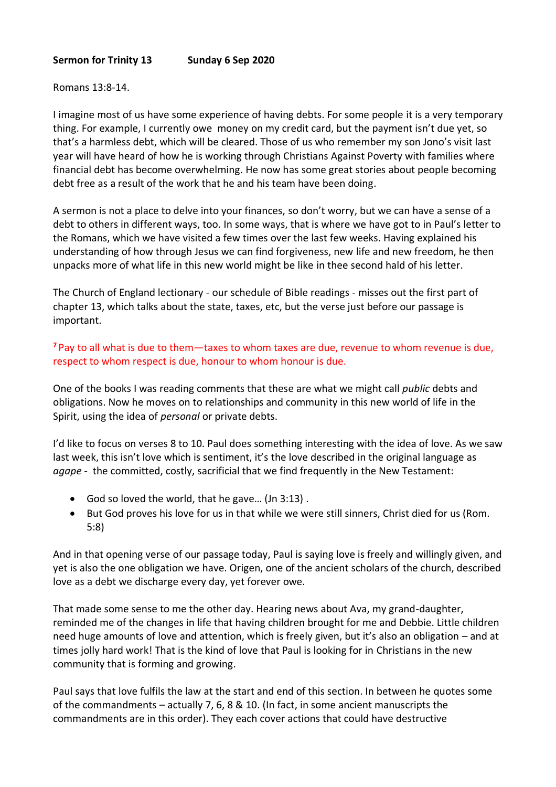## **Sermon for Trinity 13 Sunday 6 Sep 2020**

## Romans 13:8-14.

I imagine most of us have some experience of having debts. For some people it is a very temporary thing. For example, I currently owe money on my credit card, but the payment isn't due yet, so that's a harmless debt, which will be cleared. Those of us who remember my son Jono's visit last year will have heard of how he is working through Christians Against Poverty with families where financial debt has become overwhelming. He now has some great stories about people becoming debt free as a result of the work that he and his team have been doing.

A sermon is not a place to delve into your finances, so don't worry, but we can have a sense of a debt to others in different ways, too. In some ways, that is where we have got to in Paul's letter to the Romans, which we have visited a few times over the last few weeks. Having explained his understanding of how through Jesus we can find forgiveness, new life and new freedom, he then unpacks more of what life in this new world might be like in thee second hald of his letter.

The Church of England lectionary - our schedule of Bible readings - misses out the first part of chapter 13, which talks about the state, taxes, etc, but the verse just before our passage is important.

**<sup>7</sup>** Pay to all what is due to them—taxes to whom taxes are due, revenue to whom revenue is due, respect to whom respect is due, honour to whom honour is due.

One of the books I was reading comments that these are what we might call *public* debts and obligations. Now he moves on to relationships and community in this new world of life in the Spirit, using the idea of *personal* or private debts.

I'd like to focus on verses 8 to 10. Paul does something interesting with the idea of love. As we saw last week, this isn't love which is sentiment, it's the love described in the original language as *agape -* the committed, costly, sacrificial that we find frequently in the New Testament:

- God so loved the world, that he gave… (Jn 3:13) .
- But God proves his love for us in that while we were still sinners, Christ died for us (Rom. 5:8)

And in that opening verse of our passage today, Paul is saying love is freely and willingly given, and yet is also the one obligation we have. Origen, one of the ancient scholars of the church, described love as a debt we discharge every day, yet forever owe.

That made some sense to me the other day. Hearing news about Ava, my grand-daughter, reminded me of the changes in life that having children brought for me and Debbie. Little children need huge amounts of love and attention, which is freely given, but it's also an obligation – and at times jolly hard work! That is the kind of love that Paul is looking for in Christians in the new community that is forming and growing.

Paul says that love fulfils the law at the start and end of this section. In between he quotes some of the commandments – actually 7, 6, 8 & 10. (In fact, in some ancient manuscripts the commandments are in this order). They each cover actions that could have destructive